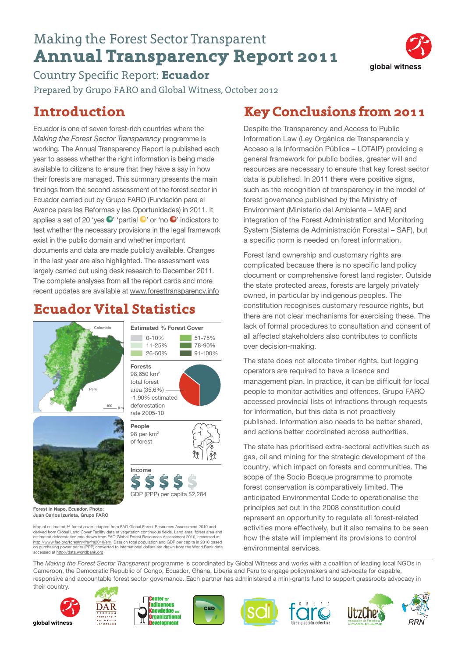# Making the Forest Sector Transparent **Annual Transparency Report 2011**



Country Specific Report: **Ecuador** Prepared by Grupo FARO and Global Witness, October 2012

### **Introduction**

Ecuador is one of seven forest-rich countries where the *Making the Forest Sector Transparency* programme is working. The Annual Transparency Report is published each year to assess whether the right information is being made available to citizens to ensure that they have a say in how their forests are managed. This summary presents the main findings from the second assessment of the forest sector in Ecuador carried out by Grupo FARO (Fundación para el Avance para las Reformas y las Oportunidades) in 2011. It applies a set of 20 'yes  $\bullet$ ' 'partial  $\bullet$ ' or 'no  $\bullet$ ' indicators to test whether the necessary provisions in the legal framework exist in the public domain and whether important documents and data are made publicly available. Changes in the last year are also highlighted. The assessment was largely carried out using desk research to December 2011. The complete analyses from all the report cards and more recent updates are available at <www.foresttransparency.info>

## **Ecuador Vital Statistics**

**Estimated % Forest Cover** 0-10% 51-75% 11-25% 78-90% 26-50% 91-100%

**Forests** 98,650 km2 total forest area (35.6%) -1.90% estimated deforestation rate 2005-10 **People** 98 per km2 of forest

**Income**

GDP (PPP) per capita \$2,284





**Forest in Napo, Ecuador. Photo: Juan Carlos Izurieta, Grupo FARO**

Map of estimated % forest cover adapted from FAO Global Forest Resources Assessment 2010 and derived from Global Land Cover Facility data of vegetation continuous fields. Land area, forest area and estimated deforestation rate drawn from FAO Global Forest Resources Assessment 2010, accessed at [http://www.fao.org/forestry/fra/fra2010/en/.](http://www.fao.org/forestry/fra/fra2010/en/) Data on total population and GDP per capita in 2010 based<br>on purchasing power parity (PPP) converted to international dollars are drawn from the World Bank data accessed at <http://data.worldbank.org>

## **Key Conclusions from2011**

Despite the Transparency and Access to Public Information Law (Ley Orgánica de Transparencia y Acceso a la Información Pública – LOTAIP) providing a general framework for public bodies, greater will and resources are necessary to ensure that key forest sector data is published. In 2011 there were positive signs, such as the recognition of transparency in the model of forest governance published by the Ministry of Environment (Ministerio del Ambiente – MAE) and integration of the Forest Administration and Monitoring System (Sistema de Administración Forestal – SAF), but a specific norm is needed on forest information.

Forest land ownership and customary rights are complicated because there is no specific land policy document or comprehensive forest land register. Outside the state protected areas, forests are largely privately owned, in particular by indigenous peoples. The constitution recognises customary resource rights, but there are not clear mechanisms for exercising these. The lack of formal procedures to consultation and consent of all affected stakeholders also contributes to conflicts over decision-making.

The state does not allocate timber rights, but logging operators are required to have a licence and management plan. In practice, it can be difficult for local people to monitor activities and offences. Grupo FARO accessed provincial lists of infractions through requests for information, but this data is not proactively published. Information also needs to be better shared, and actions better coordinated across authorities.

The state has prioritised extra-sectoral activities such as gas, oil and mining for the strategic development of the country, which impact on forests and communities. The scope of the Socio Bosque programme to promote forest conservation is comparatively limited. The anticipated Environmental Code to operationalise the principles set out in the 2008 constitution could represent an opportunity to regulate all forest-related activities more effectively, but it also remains to be seen how the state will implement its provisions to control environmental services.

The *Making the Forest Sector Transparent* programme is coordinated by Global Witness and works with a coalition of leading local NGOs in Cameroon, the Democratic Republic of Congo, Ecuador, Ghana, Liberia and Peru to engage policymakers and advocate for capable, responsive and accountable forest sector governance. Each partner has administered a mini-grants fund to support grassroots advocacy in their country.











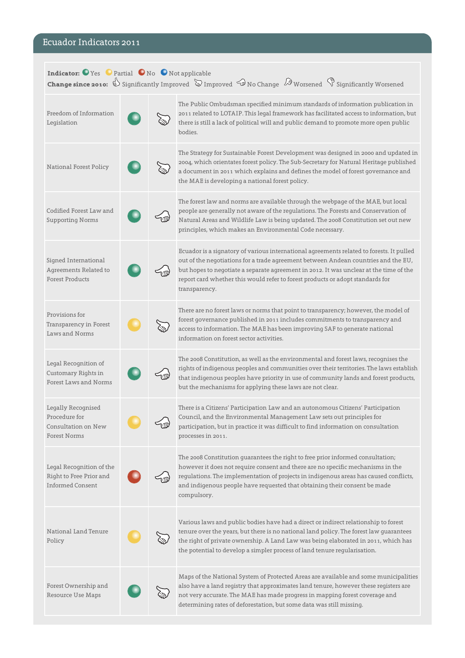### Ecuador Indicators 2011

| Indicator: O Yes O Partial O No O Not applicable<br><b>Change since 2010:</b> $\overline{\mathbb{D}}$ Significantly Improved $\overline{\mathbb{D}}$ Improved $\overline{\mathbb{D}}$ No Change $\overline{\mathbb{D}}$ Worsened $\overline{\mathbb{D}}$ Significantly Worsened |  |  |                                                                                                                                                                                                                                                                                                                                                                             |  |
|---------------------------------------------------------------------------------------------------------------------------------------------------------------------------------------------------------------------------------------------------------------------------------|--|--|-----------------------------------------------------------------------------------------------------------------------------------------------------------------------------------------------------------------------------------------------------------------------------------------------------------------------------------------------------------------------------|--|
| Freedom of Information<br>Legislation                                                                                                                                                                                                                                           |  |  | The Public Ombudsman specified minimum standards of information publication in<br>2011 related to LOTAIP. This legal framework has facilitated access to information, but<br>there is still a lack of political will and public demand to promote more open public<br>bodies.                                                                                               |  |
| National Forest Policy                                                                                                                                                                                                                                                          |  |  | The Strategy for Sustainable Forest Development was designed in 2000 and updated in<br>2004, which orientates forest policy. The Sub-Secretary for Natural Heritage published<br>a document in 2011 which explains and defines the model of forest governance and<br>the MAE is developing a national forest policy.                                                        |  |
| Codified Forest Law and<br><b>Supporting Norms</b>                                                                                                                                                                                                                              |  |  | The forest law and norms are available through the webpage of the MAE, but local<br>people are generally not aware of the regulations. The Forests and Conservation of<br>Natural Areas and Wildlife Law is being updated. The 2008 Constitution set out new<br>principles, which makes an Environmental Code necessary.                                                    |  |
| Signed International<br>Agreements Related to<br><b>Forest Products</b>                                                                                                                                                                                                         |  |  | Ecuador is a signatory of various international agreements related to forests. It pulled<br>out of the negotiations for a trade agreement between Andean countries and the EU,<br>but hopes to negotiate a separate agreement in 2012. It was unclear at the time of the<br>report card whether this would refer to forest products or adopt standards for<br>transparency. |  |
| Provisions for<br>Transparency in Forest<br>Laws and Norms                                                                                                                                                                                                                      |  |  | There are no forest laws or norms that point to transparency; however, the model of<br>forest governance published in 2011 includes commitments to transparency and<br>access to information. The MAE has been improving SAF to generate national<br>information on forest sector activities.                                                                               |  |
| Legal Recognition of<br>Customary Rights in<br>Forest Laws and Norms                                                                                                                                                                                                            |  |  | The 2008 Constitution, as well as the environmental and forest laws, recognises the<br>rights of indigenous peoples and communities over their territories. The laws establish<br>that indigenous peoples have priority in use of community lands and forest products,<br>but the mechanisms for applying these laws are not clear.                                         |  |
| Legally Recognised<br>Procedure for<br>Consultation on New<br><b>Forest Norms</b>                                                                                                                                                                                               |  |  | There is a Citizens' Participation Law and an autonomous Citizens' Participation<br>Council, and the Environmental Management Law sets out principles for<br>participation, but in practice it was difficult to find information on consultation<br>processes in 2011.                                                                                                      |  |
| Legal Recognition of the<br>Right to Free Prior and<br><b>Informed Consent</b>                                                                                                                                                                                                  |  |  | The 2008 Constitution quarantees the right to free prior informed consultation;<br>however it does not require consent and there are no specific mechanisms in the<br>regulations. The implementation of projects in indigenous areas has caused conflicts,<br>and indigenous people have requested that obtaining their consent be made<br>compulsory.                     |  |
| National Land Tenure<br>Policy                                                                                                                                                                                                                                                  |  |  | Various laws and public bodies have had a direct or indirect relationship to forest<br>tenure over the years, but there is no national land policy. The forest law guarantees<br>the right of private ownership. A Land Law was being elaborated in 2011, which has<br>the potential to develop a simpler process of land tenure regularisation.                            |  |
| Forest Ownership and<br>Resource Use Maps                                                                                                                                                                                                                                       |  |  | Maps of the National System of Protected Areas are available and some municipalities<br>also have a land registry that approximates land tenure, however these registers are<br>not very accurate. The MAE has made progress in mapping forest coverage and<br>determining rates of deforestation, but some data was still missing.                                         |  |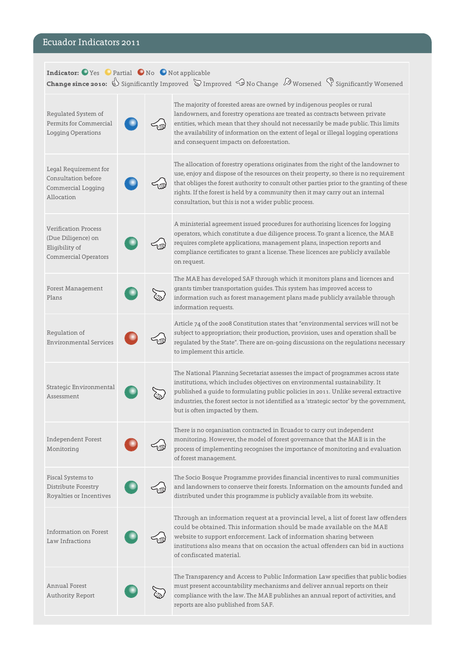### Ecuador Indicators 2011

| Indicator: O Yes O Partial O No O Not applicable<br><b>Change since 2010:</b> $\overline{\mathbb{D}}$ Significantly Improved $\overline{\mathbb{D}}$ Improved $\overline{\mathbb{D}}$ No Change $\overline{\mathbb{D}}$ Worsened $\overline{\mathbb{D}}$ Significantly Worsened |  |  |                                                                                                                                                                                                                                                                                                                                                                                                                      |  |
|---------------------------------------------------------------------------------------------------------------------------------------------------------------------------------------------------------------------------------------------------------------------------------|--|--|----------------------------------------------------------------------------------------------------------------------------------------------------------------------------------------------------------------------------------------------------------------------------------------------------------------------------------------------------------------------------------------------------------------------|--|
| Regulated System of<br>Permits for Commercial<br><b>Logging Operations</b>                                                                                                                                                                                                      |  |  | The majority of forested areas are owned by indigenous peoples or rural<br>landowners, and forestry operations are treated as contracts between private<br>entities, which mean that they should not necessarily be made public. This limits<br>the availability of information on the extent of legal or illegal logging operations<br>and consequent impacts on deforestation.                                     |  |
| Legal Requirement for<br>Consultation before<br>Commercial Logging<br>Allocation                                                                                                                                                                                                |  |  | The allocation of forestry operations originates from the right of the landowner to<br>use, enjoy and dispose of the resources on their property, so there is no requirement<br>that obliges the forest authority to consult other parties prior to the granting of these<br>rights. If the forest is held by a community then it may carry out an internal<br>consultation, but this is not a wider public process. |  |
| <b>Verification Process</b><br>(Due Diligence) on<br>Eliqibility of<br><b>Commercial Operators</b>                                                                                                                                                                              |  |  | A ministerial agreement issued procedures for authorising licences for logging<br>operators, which constitute a due diligence process. To grant a licence, the MAE<br>requires complete applications, management plans, inspection reports and<br>compliance certificates to grant a license. These licences are publicly available<br>on request.                                                                   |  |
| <b>Forest Management</b><br>Plans                                                                                                                                                                                                                                               |  |  | The MAE has developed SAF through which it monitors plans and licences and<br>grants timber transportation guides. This system has improved access to<br>information such as forest management plans made publicly available through<br>information requests.                                                                                                                                                        |  |
| Regulation of<br><b>Environmental Services</b>                                                                                                                                                                                                                                  |  |  | Article 74 of the 2008 Constitution states that "environmental services will not be<br>subject to appropriation; their production, provision, uses and operation shall be<br>regulated by the State". There are on-going discussions on the regulations necessary<br>to implement this article.                                                                                                                      |  |
| Strategic Environmental<br>Assessment                                                                                                                                                                                                                                           |  |  | The National Planning Secretariat assesses the impact of programmes across state<br>institutions, which includes objectives on environmental sustainability. It<br>published a guide to formulating public policies in 2011. Unlike several extractive<br>industries, the forest sector is not identified as a 'strategic sector' by the government,<br>but is often impacted by them.                               |  |
| Independent Forest<br>Monitoring                                                                                                                                                                                                                                                |  |  | There is no organisation contracted in Ecuador to carry out independent<br>monitoring. However, the model of forest governance that the MAE is in the<br>process of implementing recognises the importance of monitoring and evaluation<br>of forest management.                                                                                                                                                     |  |
| Fiscal Systems to<br>Distribute Forestry<br>Royalties or Incentives                                                                                                                                                                                                             |  |  | The Socio Bosque Programme provides financial incentives to rural communities<br>and landowners to conserve their forests. Information on the amounts funded and<br>distributed under this programme is publicly available from its website.                                                                                                                                                                         |  |
| Information on Forest<br>Law Infractions                                                                                                                                                                                                                                        |  |  | Through an information request at a provincial level, a list of forest law offenders<br>could be obtained. This information should be made available on the MAE<br>website to support enforcement. Lack of information sharing between<br>institutions also means that on occasion the actual offenders can bid in auctions<br>of confiscated material.                                                              |  |
| <b>Annual Forest</b><br>Authority Report                                                                                                                                                                                                                                        |  |  | The Transparency and Access to Public Information Law specifies that public bodies<br>must present accountability mechanisms and deliver annual reports on their<br>compliance with the law. The MAE publishes an annual report of activities, and<br>reports are also published from SAF.                                                                                                                           |  |